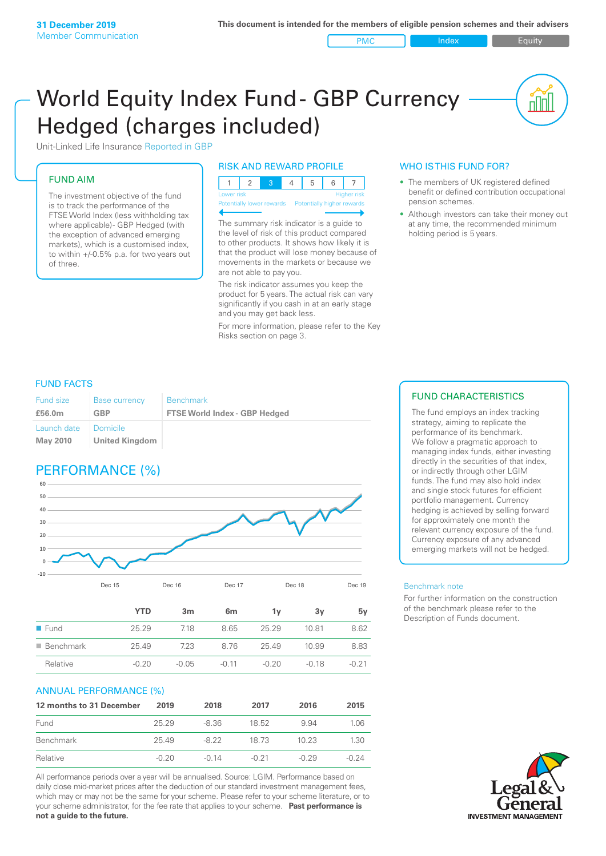PMC Index Figuity

nnl

# World Equity Index Fund- GBP Currency Hedged (charges included)



## FUND AIM

The investment objective of the fund is to track the performance of the FTSE World Index (less withholding tax where applicable) - GBP Hedged (with the exception of advanced emerging markets), which is a customised index, to within +/‑0.5% p.a. for two years out of three.

#### RISK AND REWARD PROFILE

| Lower risk |  |  | <b>Higher</b> risk |
|------------|--|--|--------------------|

Potentially lower rewards

The summary risk indicator is a guide to the level of risk of this product compared to other products. It shows how likely it is that the product will lose money because of movements in the markets or because we are not able to pay you.

The risk indicator assumes you keep the product for 5 years. The actual risk can vary significantly if you cash in at an early stage and you may get back less.

For more information, please refer to the Key Risks section on page 3.

## WHO IS THIS FUND FOR?

- The members of UK registered defined benefit or defined contribution occupational pension schemes.
- Although investors can take their money out at any time, the recommended minimum holding period is 5 years.

#### FUND FACTS

| <b>Fund size</b>        | <b>Base currency</b>       | <b>Benchmark</b>                     |
|-------------------------|----------------------------|--------------------------------------|
| £56.0m                  | GBP                        | <b>FTSE World Index - GBP Hedged</b> |
| Launch date<br>May 2010 | Domicile<br>United Kingdom |                                      |

# PERFORMANCE (%)



|                          | YTD     | 3m      | 6 <sub>m</sub> | ٦v      | З٧    | 5v    |
|--------------------------|---------|---------|----------------|---------|-------|-------|
| $\blacksquare$ Fund      | 25.29   | 7.18    | 8.65           | 25.29   | 1081  | 8.62  |
| $\blacksquare$ Benchmark | 25.49   | 7.23    | 876            | 25.49   | 10.99 | 8.83  |
| Relative                 | $-0.20$ | $-0.05$ | $-0.11$        | $-0.20$ | -0.18 | -0.21 |

#### ANNUAL PERFORMANCE (%)

| 12 months to 31 December | 2019    | 2018    | 2017    | 2016    | 2015    |
|--------------------------|---------|---------|---------|---------|---------|
| Fund                     | 25.29   | -8.36   | 18.52   | 994     | 1.06    |
| Benchmark                | 2549    | -8.22   | 18.73   | 10.23   | 1.30    |
| Relative                 | $-0.20$ | $-0.14$ | $-0.21$ | $-0.29$ | $-0.24$ |

All performance periods over a year will be annualised. Source: LGIM. Performance based on daily close mid-market prices after the deduction of our standard investment management fees, which may or may not be the same for your scheme. Please refer to your scheme literature, or to your scheme administrator, for the fee rate that applies to your scheme. **Past performance is not a guide to the future.**

## FUND CHARACTERISTICS

The fund employs an index tracking strategy, aiming to replicate the performance of its benchmark. We follow a pragmatic approach to managing index funds, either investing directly in the securities of that index, or indirectly through other LGIM funds. The fund may also hold index and single stock futures for efficient portfolio management. Currency hedging is achieved by selling forward for approximately one month the relevant currency exposure of the fund. Currency exposure of any advanced emerging markets will not be hedged.

#### Benchmark note

For further information on the construction of the benchmark please refer to the Description of Funds document.

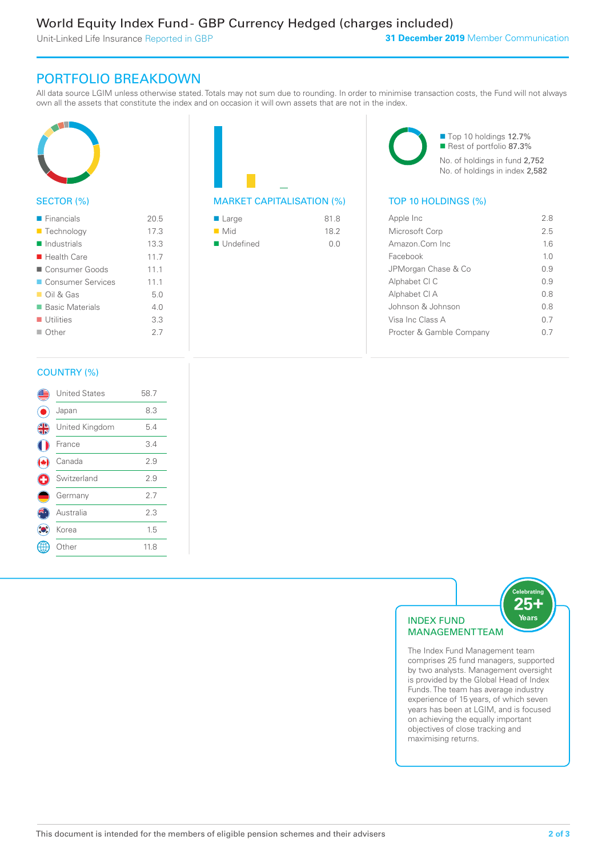Unit-Linked Life Insurance Reported in GBP

# PORTFOLIO BREAKDOWN

All data source LGIM unless otherwise stated. Totals may not sum due to rounding. In order to minimise transaction costs, the Fund will not always own all the assets that constitute the index and on occasion it will own assets that are not in the index.



## SECTOR (%)

| $\blacksquare$ Financials  | 20.5 |
|----------------------------|------|
| ■ Technology               | 17.3 |
| $\blacksquare$ Industrials | 13.3 |
| $\blacksquare$ Health Care | 11.7 |
| Consumer Goods             | 11.1 |
| <b>Consumer Services</b>   | 11.1 |
| $\Box$ Oil & Gas           | 5.0  |
| ■ Basic Materials          | 4.0  |
| $\blacksquare$ Utilities   | 3.3  |
| $\Box$ Other               | 27   |
|                            |      |



| ■ Large            | 81.8 |
|--------------------|------|
| $\blacksquare$ Mid | 18.2 |
| ■ Undefined        | n n  |

■ Top 10 holdings 12.7% Rest of portfolio 87.3% No. of holdings in fund 2,752 No. of holdings in index 2,582

## MARKET CAPITALISATION (%) TOP 10 HOLDINGS (%)

| Apple Inc                | 28             |
|--------------------------|----------------|
| Microsoft Corp           | 2.5            |
| Amazon Com Inc.          | 16             |
| Facebook                 | 1 <sub>0</sub> |
| JPMorgan Chase & Co      | 0.9            |
| Alphabet CI C            | 09             |
| Alphabet CI A            | 0 S            |
| Johnson & Johnson        | 0 S            |
| Visa Inc Class A         | 0.7            |
| Procter & Gamble Company |                |
|                          |                |

## COUNTRY (%)

|   | <b>United States</b> | 58.7 |  |
|---|----------------------|------|--|
|   | Japan                | 8.3  |  |
| 4 | United Kingdom       | 5.4  |  |
|   | France               | 3.4  |  |
|   | Canada               | 2.9  |  |
| ÷ | Switzerland          | 2.9  |  |
|   | Germany              | 2.7  |  |
|   | Australia            | 2.3  |  |
|   | Korea                | 1.5  |  |
|   | Other                | 11.8 |  |
|   |                      |      |  |



The Index Fund Management team comprises 25 fund managers, supported by two analysts. Management oversight is provided by the Global Head of Index Funds. The team has average industry experience of 15 years, of which seven years has been at LGIM, and is focused on achieving the equally important objectives of close tracking and maximising returns.